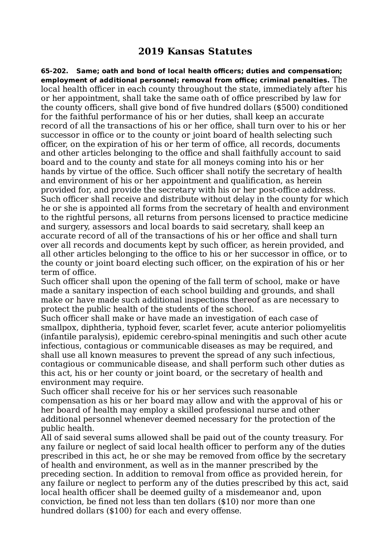## **2019 Kansas Statutes**

**65-202. Same; oath and bond of local health officers; duties and compensation; employment of additional personnel; removal from office; criminal penalties.** The local health officer in each county throughout the state, immediately after his or her appointment, shall take the same oath of office prescribed by law for the county officers, shall give bond of five hundred dollars (\$500) conditioned for the faithful performance of his or her duties, shall keep an accurate record of all the transactions of his or her office, shall turn over to his or her successor in office or to the county or joint board of health selecting such officer, on the expiration of his or her term of office, all records, documents and other articles belonging to the office and shall faithfully account to said board and to the county and state for all moneys coming into his or her hands by virtue of the office. Such officer shall notify the secretary of health and environment of his or her appointment and qualification, as herein provided for, and provide the secretary with his or her post-office address. Such officer shall receive and distribute without delay in the county for which he or she is appointed all forms from the secretary of health and environment to the rightful persons, all returns from persons licensed to practice medicine and surgery, assessors and local boards to said secretary, shall keep an accurate record of all of the transactions of his or her office and shall turn over all records and documents kept by such officer, as herein provided, and all other articles belonging to the office to his or her successor in office, or to the county or joint board electing such officer, on the expiration of his or her term of office.

Such officer shall upon the opening of the fall term of school, make or have made a sanitary inspection of each school building and grounds, and shall make or have made such additional inspections thereof as are necessary to protect the public health of the students of the school.

Such officer shall make or have made an investigation of each case of smallpox, diphtheria, typhoid fever, scarlet fever, acute anterior poliomyelitis (infantile paralysis), epidemic cerebro-spinal meningitis and such other acute infectious, contagious or communicable diseases as may be required, and shall use all known measures to prevent the spread of any such infectious, contagious or communicable disease, and shall perform such other duties as this act, his or her county or joint board, or the secretary of health and environment may require.

Such officer shall receive for his or her services such reasonable compensation as his or her board may allow and with the approval of his or her board of health may employ a skilled professional nurse and other additional personnel whenever deemed necessary for the protection of the public health.

All of said several sums allowed shall be paid out of the county treasury. For any failure or neglect of said local health officer to perform any of the duties prescribed in this act, he or she may be removed from office by the secretary of health and environment, as well as in the manner prescribed by the preceding section. In addition to removal from office as provided herein, for any failure or neglect to perform any of the duties prescribed by this act, said local health officer shall be deemed guilty of a misdemeanor and, upon conviction, be fined not less than ten dollars (\$10) nor more than one hundred dollars (\$100) for each and every offense.